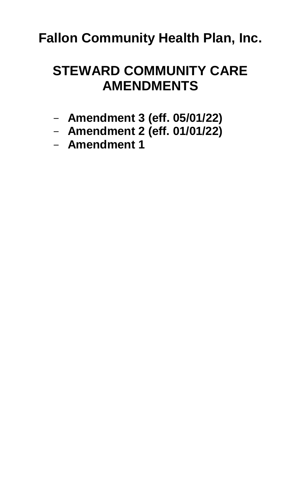# **STEWARD COMMUNITY CARE AMENDMENTS**

- **[Amendment 3](#page-1-0) (eff. 05/01/22)**
- **[Amendment 2 \(eff. 01/01/22\)](#page-3-0)**
- **[Amendment 1](#page-13-0)**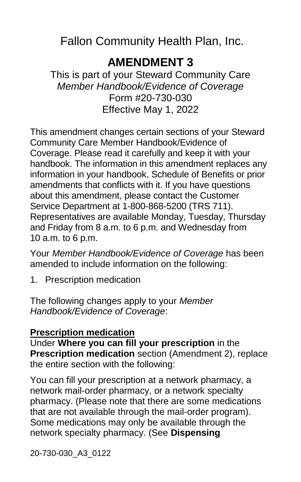# **AMENDMENT 3**

<span id="page-1-0"></span>This is part of your Steward Community Care *Member Handbook/Evidence of Coverage* Form #20-730-030 Effective May 1, 2022

This amendment changes certain sections of your Steward Community Care Member Handbook/Evidence of Coverage. Please read it carefully and keep it with your handbook. The information in this amendment replaces any information in your handbook, Schedule of Benefits or prior amendments that conflicts with it. If you have questions about this amendment, please contact the Customer Service Department at 1-800-868-5200 (TRS 711). Representatives are available Monday, Tuesday, Thursday and Friday from 8 a.m. to 6 p.m. and Wednesday from 10 a.m. to 6 p.m.

Your *Member Handbook/Evidence of Coverage* has been amended to include information on the following:

1. Prescription medication

The following changes apply to your *Member Handbook/Evidence of Coverage*:

#### **Prescription medication**

Under **Where you can fill your prescription** in the **Prescription medication** section (Amendment 2), replace the entire section with the following:

You can fill your prescription at a network pharmacy, a network mail-order pharmacy, or a network specialty pharmacy. (Please note that there are some medications that are not available through the mail-order program). Some medications may only be available through the network specialty pharmacy. (See **Dispensing**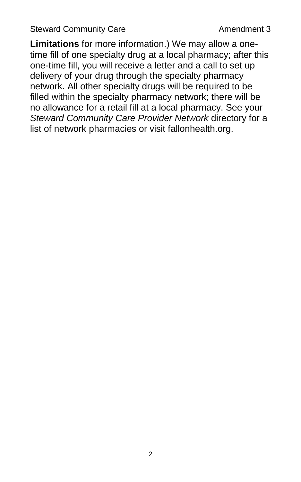Steward Community Care **Amendment 3** 

**Limitations** for more information.) We may allow a onetime fill of one specialty drug at a local pharmacy; after this one-time fill, you will receive a letter and a call to set up delivery of your drug through the specialty pharmacy network. All other specialty drugs will be required to be filled within the specialty pharmacy network; there will be no allowance for a retail fill at a local pharmacy. See your *Steward Community Care Provider Network* directory for a list of network pharmacies or visit fallonhealth.org.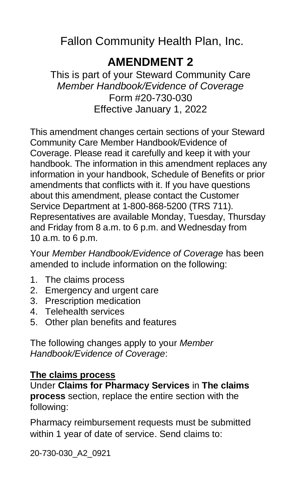# **AMENDMENT 2**

<span id="page-3-0"></span>This is part of your Steward Community Care *Member Handbook/Evidence of Coverage* Form #20-730-030 Effective January 1, 2022

This amendment changes certain sections of your Steward Community Care Member Handbook/Evidence of Coverage. Please read it carefully and keep it with your handbook. The information in this amendment replaces any information in your handbook, Schedule of Benefits or prior amendments that conflicts with it. If you have questions about this amendment, please contact the Customer Service Department at 1-800-868-5200 (TRS 711). Representatives are available Monday, Tuesday, Thursday and Friday from 8 a.m. to 6 p.m. and Wednesday from 10 a.m. to 6 p.m.

Your *Member Handbook/Evidence of Coverage* has been amended to include information on the following:

- 1. The claims process
- 2. Emergency and urgent care
- 3. Prescription medication
- 4. Telehealth services
- 5. Other plan benefits and features

The following changes apply to your *Member Handbook/Evidence of Coverage*:

#### **The claims process**

Under **Claims for Pharmacy Services** in **The claims process** section, replace the entire section with the following:

Pharmacy reimbursement requests must be submitted within 1 year of date of service. Send claims to:

20-730-030\_A2\_0921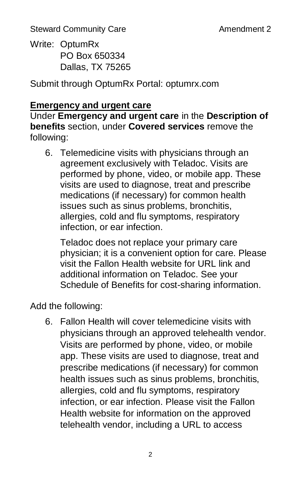Write: OptumRx PO Box 650334 Dallas, TX 75265

Submit through OptumRx Portal: optumrx.com

#### **Emergency and urgent care**

Under **Emergency and urgent care** in the **Description of benefits** section, under **Covered services** remove the following:

6. Telemedicine visits with physicians through an agreement exclusively with Teladoc. Visits are performed by phone, video, or mobile app. These visits are used to diagnose, treat and prescribe medications (if necessary) for common health issues such as sinus problems, bronchitis, allergies, cold and flu symptoms, respiratory infection, or ear infection.

Teladoc does not replace your primary care physician; it is a convenient option for care. Please visit the Fallon Health website for URL link and additional information on Teladoc. See your Schedule of Benefits for cost-sharing information.

Add the following:

6. Fallon Health will cover telemedicine visits with physicians through an approved telehealth vendor. Visits are performed by phone, video, or mobile app. These visits are used to diagnose, treat and prescribe medications (if necessary) for common health issues such as sinus problems, bronchitis, allergies, cold and flu symptoms, respiratory infection, or ear infection. Please visit the Fallon Health website for information on the approved telehealth vendor, including a URL to access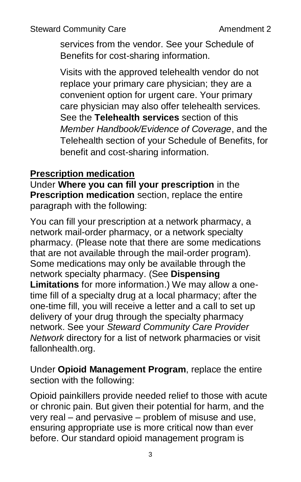services from the vendor. See your Schedule of Benefits for cost-sharing information.

Visits with the approved telehealth vendor do not replace your primary care physician; they are a convenient option for urgent care. Your primary care physician may also offer telehealth services. See the **Telehealth services** section of this *Member Handbook/Evidence of Coverage*, and the Telehealth section of your Schedule of Benefits, for benefit and cost-sharing information.

#### **Prescription medication**

Under **Where you can fill your prescription** in the **Prescription medication** section, replace the entire paragraph with the following:

You can fill your prescription at a network pharmacy, a network mail-order pharmacy, or a network specialty pharmacy. (Please note that there are some medications that are not available through the mail-order program). Some medications may only be available through the network specialty pharmacy. (See **Dispensing Limitations** for more information.) We may allow a onetime fill of a specialty drug at a local pharmacy; after the one-time fill, you will receive a letter and a call to set up delivery of your drug through the specialty pharmacy network. See your *Steward Community Care Provider Network* directory for a list of network pharmacies or visit fallonhealth.org.

Under **Opioid Management Program**, replace the entire section with the following:

Opioid painkillers provide needed relief to those with acute or chronic pain. But given their potential for harm, and the very real – and pervasive – problem of misuse and use, ensuring appropriate use is more critical now than ever before. Our standard opioid management program is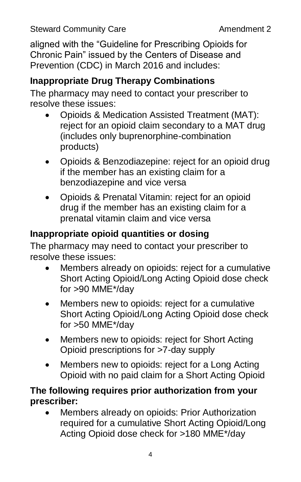aligned with the "Guideline for Prescribing Opioids for Chronic Pain" issued by the Centers of Disease and Prevention (CDC) in March 2016 and includes:

# **Inappropriate Drug Therapy Combinations**

The pharmacy may need to contact your prescriber to resolve these issues:

- Opioids & Medication Assisted Treatment (MAT): reject for an opioid claim secondary to a MAT drug (includes only buprenorphine-combination products)
- Opioids & Benzodiazepine: reject for an opioid drug if the member has an existing claim for a benzodiazepine and vice versa
- Opioids & Prenatal Vitamin: reject for an opioid drug if the member has an existing claim for a prenatal vitamin claim and vice versa

# **Inappropriate opioid quantities or dosing**

The pharmacy may need to contact your prescriber to resolve these issues:

- Members already on opioids: reject for a cumulative Short Acting Opioid/Long Acting Opioid dose check for >90 MME\*/day
- Members new to opioids: reject for a cumulative Short Acting Opioid/Long Acting Opioid dose check for >50 MME\*/day
- Members new to opioids: reject for Short Acting Opioid prescriptions for >7-day supply
- Members new to opioids: reject for a Long Acting Opioid with no paid claim for a Short Acting Opioid

#### **The following requires prior authorization from your prescriber:**

 Members already on opioids: Prior Authorization required for a cumulative Short Acting Opioid/Long Acting Opioid dose check for >180 MME\*/day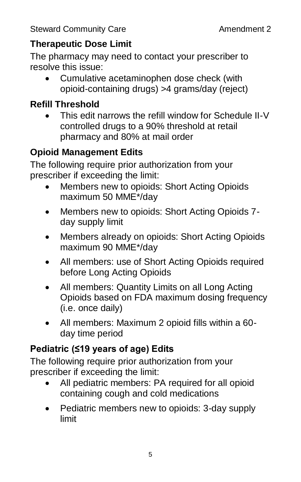# **Therapeutic Dose Limit**

The pharmacy may need to contact your prescriber to resolve this issue:

 Cumulative acetaminophen dose check (with opioid-containing drugs) >4 grams/day (reject)

# **Refill Threshold**

 This edit narrows the refill window for Schedule II-V controlled drugs to a 90% threshold at retail pharmacy and 80% at mail order

# **Opioid Management Edits**

The following require prior authorization from your prescriber if exceeding the limit:

- Members new to opioids: Short Acting Opioids maximum 50 MME\*/day
- Members new to opioids: Short Acting Opioids 7 day supply limit
- Members already on opioids: Short Acting Opioids maximum 90 MME\*/day
- All members: use of Short Acting Opioids required before Long Acting Opioids
- All members: Quantity Limits on all Long Acting Opioids based on FDA maximum dosing frequency (i.e. once daily)
- All members: Maximum 2 opioid fills within a 60 day time period

# **Pediatric (≤19 years of age) Edits**

The following require prior authorization from your prescriber if exceeding the limit:

- All pediatric members: PA required for all opioid containing cough and cold medications
- Pediatric members new to opioids: 3-day supply limit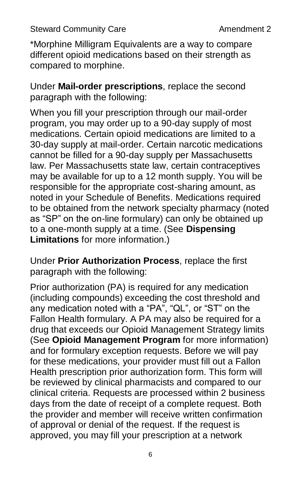\*Morphine Milligram Equivalents are a way to compare different opioid medications based on their strength as compared to morphine.

Under **Mail-order prescriptions**, replace the second paragraph with the following:

When you fill your prescription through our mail-order program, you may order up to a 90-day supply of most medications. Certain opioid medications are limited to a 30-day supply at mail-order. Certain narcotic medications cannot be filled for a 90-day supply per Massachusetts law. Per Massachusetts state law, certain contraceptives may be available for up to a 12 month supply. You will be responsible for the appropriate cost-sharing amount, as noted in your Schedule of Benefits. Medications required to be obtained from the network specialty pharmacy (noted as "SP" on the on-line formulary) can only be obtained up to a one-month supply at a time. (See **Dispensing Limitations** for more information.)

Under **Prior Authorization Process**, replace the first paragraph with the following:

Prior authorization (PA) is required for any medication (including compounds) exceeding the cost threshold and any medication noted with a "PA", "QL", or "ST" on the Fallon Health formulary. A PA may also be required for a drug that exceeds our Opioid Management Strategy limits (See **Opioid Management Program** for more information) and for formulary exception requests. Before we will pay for these medications, your provider must fill out a Fallon Health prescription prior authorization form. This form will be reviewed by clinical pharmacists and compared to our clinical criteria. Requests are processed within 2 business days from the date of receipt of a complete request. Both the provider and member will receive written confirmation of approval or denial of the request. If the request is approved, you may fill your prescription at a network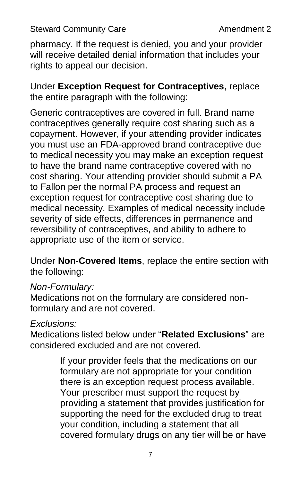pharmacy. If the request is denied, you and your provider will receive detailed denial information that includes your rights to appeal our decision.

Under **Exception Request for Contraceptives**, replace the entire paragraph with the following:

Generic contraceptives are covered in full. Brand name contraceptives generally require cost sharing such as a copayment. However, if your attending provider indicates you must use an FDA-approved brand contraceptive due to medical necessity you may make an exception request to have the brand name contraceptive covered with no cost sharing. Your attending provider should submit a PA to Fallon per the normal PA process and request an exception request for contraceptive cost sharing due to medical necessity. Examples of medical necessity include severity of side effects, differences in permanence and reversibility of contraceptives, and ability to adhere to appropriate use of the item or service.

Under **Non-Covered Items**, replace the entire section with the following:

#### *Non-Formulary:*

Medications not on the formulary are considered nonformulary and are not covered.

#### *Exclusions:*

Medications listed below under "**Related Exclusions**" are considered excluded and are not covered.

> If your provider feels that the medications on our formulary are not appropriate for your condition there is an exception request process available. Your prescriber must support the request by providing a statement that provides justification for supporting the need for the excluded drug to treat your condition, including a statement that all covered formulary drugs on any tier will be or have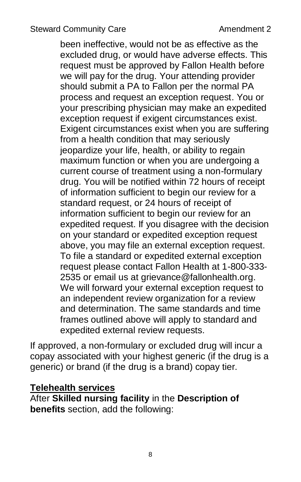been ineffective, would not be as effective as the excluded drug, or would have adverse effects. This request must be approved by Fallon Health before we will pay for the drug. Your attending provider should submit a PA to Fallon per the normal PA process and request an exception request. You or your prescribing physician may make an expedited exception request if exigent circumstances exist. Exigent circumstances exist when you are suffering from a health condition that may seriously jeopardize your life, health, or ability to regain maximum function or when you are undergoing a current course of treatment using a non-formulary drug. You will be notified within 72 hours of receipt of information sufficient to begin our review for a standard request, or 24 hours of receipt of information sufficient to begin our review for an expedited request. If you disagree with the decision on your standard or expedited exception request above, you may file an external exception request. To file a standard or expedited external exception request please contact Fallon Health at 1-800-333- 2535 or email us at grievance@fallonhealth.org. We will forward your external exception request to an independent review organization for a review and determination. The same standards and time frames outlined above will apply to standard and expedited external review requests.

If approved, a non-formulary or excluded drug will incur a copay associated with your highest generic (if the drug is a generic) or brand (if the drug is a brand) copay tier.

#### **Telehealth services**

After **Skilled nursing facility** in the **Description of benefits** section, add the following: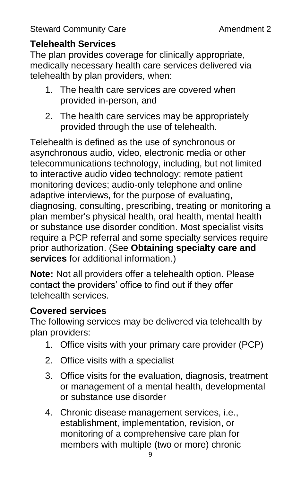## **Telehealth Services**

The plan provides coverage for clinically appropriate, medically necessary health care services delivered via telehealth by plan providers, when:

- 1. The health care services are covered when provided in-person, and
- 2. The health care services may be appropriately provided through the use of telehealth.

Telehealth is defined as the use of synchronous or asynchronous audio, video, electronic media or other telecommunications technology, including, but not limited to interactive audio video technology; remote patient monitoring devices; audio-only telephone and online adaptive interviews, for the purpose of evaluating, diagnosing, consulting, prescribing, treating or monitoring a plan member's physical health, oral health, mental health or substance use disorder condition. Most specialist visits require a PCP referral and some specialty services require prior authorization. (See **Obtaining specialty care and services** for additional information.)

**Note:** Not all providers offer a telehealth option. Please contact the providers' office to find out if they offer telehealth services.

#### **Covered services**

The following services may be delivered via telehealth by plan providers:

- 1. Office visits with your primary care provider (PCP)
- 2. Office visits with a specialist
- 3. Office visits for the evaluation, diagnosis, treatment or management of a mental health, developmental or substance use disorder
- 4. Chronic disease management services, i.e., establishment, implementation, revision, or monitoring of a comprehensive care plan for members with multiple (two or more) chronic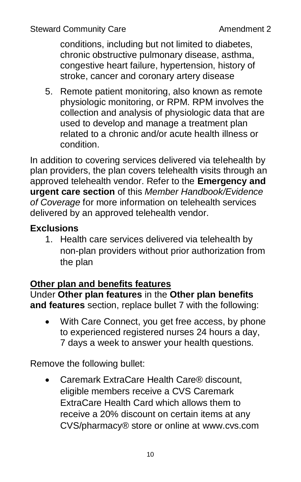conditions, including but not limited to diabetes, chronic obstructive pulmonary disease, asthma, congestive heart failure, hypertension, history of stroke, cancer and coronary artery disease

5. Remote patient monitoring, also known as remote physiologic monitoring, or RPM. RPM involves the collection and analysis of physiologic data that are used to develop and manage a treatment plan related to a chronic and/or acute health illness or condition.

In addition to covering services delivered via telehealth by plan providers, the plan covers telehealth visits through an approved telehealth vendor. Refer to the **Emergency and urgent care section** of this *Member Handbook/Evidence of Coverage* for more information on telehealth services delivered by an approved telehealth vendor.

# **Exclusions**

1. Health care services delivered via telehealth by non-plan providers without prior authorization from the plan

### **Other plan and benefits features**

Under **Other plan features** in the **Other plan benefits and features** section, replace bullet 7 with the following:

 With Care Connect, you get free access, by phone to experienced registered nurses 24 hours a day, 7 days a week to answer your health questions.

Remove the following bullet:

 Caremark ExtraCare Health Care® discount, eligible members receive a CVS Caremark ExtraCare Health Card which allows them to receive a 20% discount on certain items at any CVS/pharmacy® store or online at [www.cvs.com](http://www.cvs.com/)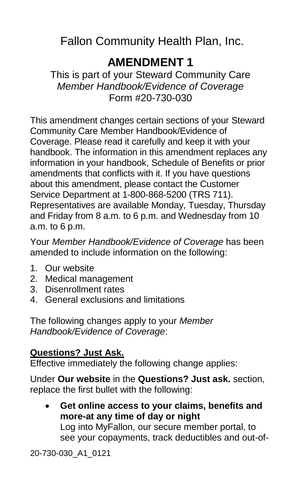# **AMENDMENT 1**

<span id="page-13-0"></span>This is part of your Steward Community Care *Member Handbook/Evidence of Coverage* Form #20-730-030

This amendment changes certain sections of your Steward Community Care Member Handbook/Evidence of Coverage. Please read it carefully and keep it with your handbook. The information in this amendment replaces any information in your handbook, Schedule of Benefits or prior amendments that conflicts with it. If you have questions about this amendment, please contact the Customer Service Department at 1-800-868-5200 (TRS 711). Representatives are available Monday, Tuesday, Thursday and Friday from 8 a.m. to 6 p.m. and Wednesday from 10 a.m. to 6 p.m.

Your *Member Handbook/Evidence of Coverage* has been amended to include information on the following:

- 1. Our website
- 2. Medical management
- 3. Disenrollment rates
- 4. General exclusions and limitations

The following changes apply to your *Member Handbook/Evidence of Coverage*:

### **Questions? Just Ask.**

Effective immediately the following change applies:

Under **Our website** in the **Questions? Just ask.** section, replace the first bullet with the following:

 **Get online access to your claims, benefits and more-at any time of day or night** Log into MyFallon, our secure member portal, to see your copayments, track deductibles and out-of-

20-730-030\_A1\_0121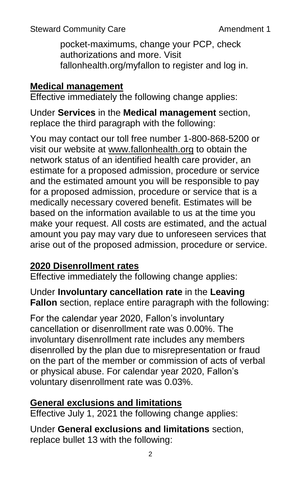Steward Community Care **Amendment 1** 

pocket-maximums, change your PCP, check authorizations and more. Visit fallonhealth.org/myfallon to register and log in.

### **Medical management**

Effective immediately the following change applies:

Under **Services** in the **Medical management** section, replace the third paragraph with the following:

You may contact our toll free number 1-800-868-5200 or visit our website at [www.fallonhealth.org](http://www.fallonhealth.org/) to obtain the network status of an identified health care provider, an estimate for a proposed admission, procedure or service and the estimated amount you will be responsible to pay for a proposed admission, procedure or service that is a medically necessary covered benefit. Estimates will be based on the information available to us at the time you make your request. All costs are estimated, and the actual amount you pay may vary due to unforeseen services that arise out of the proposed admission, procedure or service.

# **2020 Disenrollment rates**

Effective immediately the following change applies:

Under **Involuntary cancellation rate** in the **Leaving Fallon** section, replace entire paragraph with the following:

For the calendar year 2020, Fallon's involuntary cancellation or disenrollment rate was 0.00%. The involuntary disenrollment rate includes any members disenrolled by the plan due to misrepresentation or fraud on the part of the member or commission of acts of verbal or physical abuse. For calendar year 2020, Fallon's voluntary disenrollment rate was 0.03%.

# **General exclusions and limitations**

Effective July 1, 2021 the following change applies:

Under **General exclusions and limitations** section, replace bullet 13 with the following: